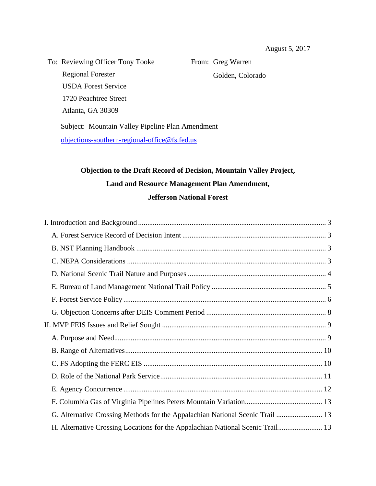To: Reviewing Officer Tony Tooke Regional Forester USDA Forest Service 1720 Peachtree Street Atlanta, GA 30309

From: Greg Warren Golden, Colorado

Subject: Mountain Valley Pipeline Plan Amendment [objections-southern-regional-office@fs.fed.us](mailto:objections-southern-regional-office@fs.fed.us)

# **Objection to the Draft Record of Decision, Mountain Valley Project, Land and Resource Management Plan Amendment, Jefferson National Forest**

| G. Alternative Crossing Methods for the Appalachian National Scenic Trail  13  |  |
|--------------------------------------------------------------------------------|--|
| H. Alternative Crossing Locations for the Appalachian National Scenic Trail 13 |  |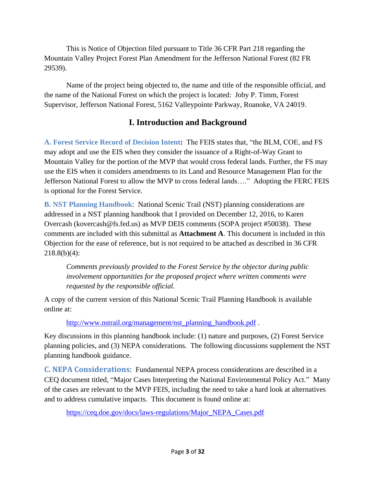This is Notice of Objection filed pursuant to Title 36 CFR Part 218 regarding the Mountain Valley Project Forest Plan Amendment for the Jefferson National Forest (82 FR 29539).

Name of the project being objected to, the name and title of the responsible official, and the name of the National Forest on which the project is located: Joby P. Timm, Forest Supervisor, Jefferson National Forest, 5162 Valleypointe Parkway, Roanoke, VA 24019.

# **I. Introduction and Background**

<span id="page-2-1"></span><span id="page-2-0"></span>**A. Forest Service Record of Decision Intent:** The FEIS states that, "the BLM, COE, and FS may adopt and use the EIS when they consider the issuance of a Right-of-Way Grant to Mountain Valley for the portion of the MVP that would cross federal lands. Further, the FS may use the EIS when it considers amendments to its Land and Resource Management Plan for the Jefferson National Forest to allow the MVP to cross federal lands…." Adopting the FERC FEIS is optional for the Forest Service.

<span id="page-2-2"></span>**B. NST Planning Handbook**: National Scenic Trail (NST) planning considerations are addressed in a NST planning handbook that I provided on December 12, 2016, to Karen Overcash (kovercash@fs.fed.us) as MVP DEIS comments (SOPA project #50038). These comments are included with this submittal as **Attachment A**. This document is included in this Objection for the ease of reference, but is not required to be attached as described in 36 CFR 218.8(b)(4):

*Comments previously provided to the Forest Service by the objector during public involvement opportunities for the proposed project where written comments were requested by the responsible official.*

A copy of the current version of this National Scenic Trail Planning Handbook is available online at:

[http://www.nstrail.org/management/nst\\_planning\\_handbook.pdf](http://www.nstrail.org/management/nst_planning_handbook.pdf) .

Key discussions in this planning handbook include: (1) nature and purposes, (2) Forest Service planning policies, and (3) NEPA considerations. The following discussions supplement the NST planning handbook guidance.

<span id="page-2-3"></span>**C. NEPA Considerations**: Fundamental NEPA process considerations are described in a CEQ document titled, "Major Cases Interpreting the National Environmental Policy Act." Many of the cases are relevant to the MVP FEIS, including the need to take a hard look at alternatives and to address cumulative impacts. This document is found online at:

[https://ceq.doe.gov/docs/laws-regulations/Major\\_NEPA\\_Cases.pdf](https://ceq.doe.gov/docs/laws-regulations/Major_NEPA_Cases.pdf)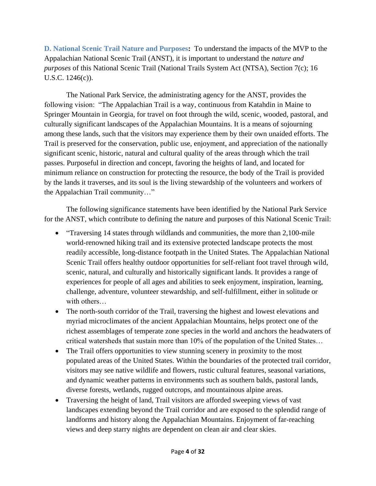<span id="page-3-0"></span>**D. National Scenic Trail Nature and Purposes:** To understand the impacts of the MVP to the Appalachian National Scenic Trail (ANST), it is important to understand the *nature and purposes* of this National Scenic Trail (National Trails System Act (NTSA), Section 7(c); 16 U.S.C. 1246(c)).

The National Park Service, the administrating agency for the ANST, provides the following vision: "The Appalachian Trail is a way, continuous from Katahdin in Maine to Springer Mountain in Georgia, for travel on foot through the wild, scenic, wooded, pastoral, and culturally significant landscapes of the Appalachian Mountains. It is a means of sojourning among these lands, such that the visitors may experience them by their own unaided efforts. The Trail is preserved for the conservation, public use, enjoyment, and appreciation of the nationally significant scenic, historic, natural and cultural quality of the areas through which the trail passes. Purposeful in direction and concept, favoring the heights of land, and located for minimum reliance on construction for protecting the resource, the body of the Trail is provided by the lands it traverses, and its soul is the living stewardship of the volunteers and workers of the Appalachian Trail community…"

The following significance statements have been identified by the National Park Service for the ANST, which contribute to defining the nature and purposes of this National Scenic Trail:

- "Traversing 14 states through wildlands and communities, the more than 2,100-mile world-renowned hiking trail and its extensive protected landscape protects the most readily accessible, long-distance footpath in the United States. The Appalachian National Scenic Trail offers healthy outdoor opportunities for self-reliant foot travel through wild, scenic, natural, and culturally and historically significant lands. It provides a range of experiences for people of all ages and abilities to seek enjoyment, inspiration, learning, challenge, adventure, volunteer stewardship, and self-fulfillment, either in solitude or with others…
- The north-south corridor of the Trail, traversing the highest and lowest elevations and myriad microclimates of the ancient Appalachian Mountains, helps protect one of the richest assemblages of temperate zone species in the world and anchors the headwaters of critical watersheds that sustain more than 10% of the population of the United States…
- The Trail offers opportunities to view stunning scenery in proximity to the most populated areas of the United States. Within the boundaries of the protected trail corridor, visitors may see native wildlife and flowers, rustic cultural features, seasonal variations, and dynamic weather patterns in environments such as southern balds, pastoral lands, diverse forests, wetlands, rugged outcrops, and mountainous alpine areas.
- Traversing the height of land, Trail visitors are afforded sweeping views of vast landscapes extending beyond the Trail corridor and are exposed to the splendid range of landforms and history along the Appalachian Mountains. Enjoyment of far-reaching views and deep starry nights are dependent on clean air and clear skies.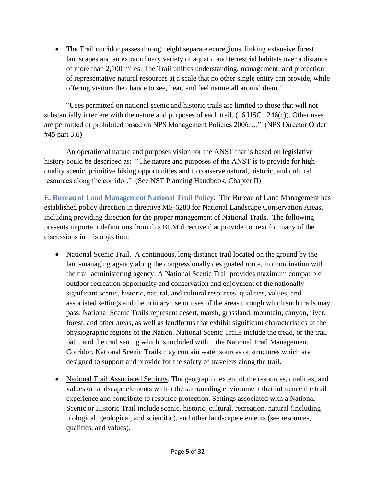The Trail corridor passes through eight separate ecoregions, linking extensive forest landscapes and an extraordinary variety of aquatic and terrestrial habitats over a distance of more than 2,100 miles. The Trail unifies understanding, management, and protection of representative natural resources at a scale that no other single entity can provide, while offering visitors the chance to see, hear, and feel nature all around them."

"Uses permitted on national scenic and historic trails are limited to those that will not substantially interfere with the nature and purposes of each trail.  $(16 \text{ USC } 1246(c))$ . Other uses are permitted or prohibited based on NPS Management Policies 2006…." (NPS Director Order #45 part 3.6)

An operational nature and purposes vision for the ANST that is based on legislative history could be described as: "The nature and purposes of the ANST is to provide for highquality scenic, primitive hiking opportunities and to conserve natural, historic, and cultural resources along the corridor." (See NST Planning Handbook, Chapter II)

<span id="page-4-0"></span>**E. Bureau of Land Management National Trail Policy**: The Bureau of Land Management has established policy direction in directive MS-6280 for National Landscape Conservation Areas, including providing direction for the proper management of National Trails. The following presents important definitions from this BLM directive that provide context for many of the discussions in this objection:

- National Scenic Trail. A continuous, long-distance trail located on the ground by the land-managing agency along the congressionally designated route, in coordination with the trail administering agency. A National Scenic Trail provides maximum compatible outdoor recreation opportunity and conservation and enjoyment of the nationally significant scenic, historic, natural, and cultural resources, qualities, values, and associated settings and the primary use or uses of the areas through which such trails may pass. National Scenic Trails represent desert, marsh, grassland, mountain, canyon, river, forest, and other areas, as well as landforms that exhibit significant characteristics of the physiographic regions of the Nation. National Scenic Trails include the tread, or the trail path, and the trail setting which is included within the National Trail Management Corridor. National Scenic Trails may contain water sources or structures which are designed to support and provide for the safety of travelers along the trail.
- National Trail Associated Settings. The geographic extent of the resources, qualities, and values or landscape elements within the surrounding environment that influence the trail experience and contribute to resource protection. Settings associated with a National Scenic or Historic Trail include scenic, historic, cultural, recreation, natural (including biological, geological, and scientific), and other landscape elements (see resources, qualities, and values).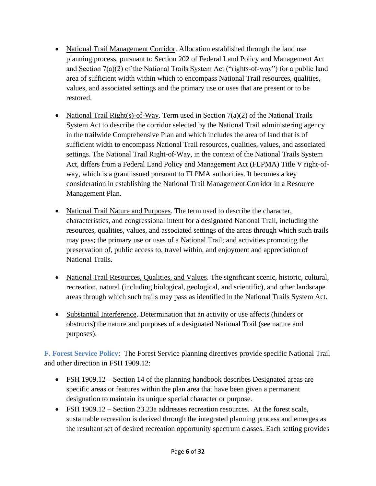- National Trail Management Corridor. Allocation established through the land use planning process, pursuant to Section 202 of Federal Land Policy and Management Act and Section 7(a)(2) of the National Trails System Act ("rights-of-way") for a public land area of sufficient width within which to encompass National Trail resources, qualities, values, and associated settings and the primary use or uses that are present or to be restored.
- National Trail Right(s)-of-Way. Term used in Section  $7(a)(2)$  of the National Trails System Act to describe the corridor selected by the National Trail administering agency in the trailwide Comprehensive Plan and which includes the area of land that is of sufficient width to encompass National Trail resources, qualities, values, and associated settings. The National Trail Right-of-Way, in the context of the National Trails System Act, differs from a Federal Land Policy and Management Act (FLPMA) Title V right-ofway, which is a grant issued pursuant to FLPMA authorities. It becomes a key consideration in establishing the National Trail Management Corridor in a Resource Management Plan.
- National Trail Nature and Purposes. The term used to describe the character, characteristics, and congressional intent for a designated National Trail, including the resources, qualities, values, and associated settings of the areas through which such trails may pass; the primary use or uses of a National Trail; and activities promoting the preservation of, public access to, travel within, and enjoyment and appreciation of National Trails.
- National Trail Resources, Qualities, and Values. The significant scenic, historic, cultural, recreation, natural (including biological, geological, and scientific), and other landscape areas through which such trails may pass as identified in the National Trails System Act.
- Substantial Interference. Determination that an activity or use affects (hinders or obstructs) the nature and purposes of a designated National Trail (see nature and purposes).

<span id="page-5-0"></span>**F. Forest Service Policy**: The Forest Service planning directives provide specific National Trail and other direction in FSH 1909.12:

- FSH 1909.12 Section 14 of the planning handbook describes Designated areas are specific areas or features within the plan area that have been given a permanent designation to maintain its unique special character or purpose.
- FSH 1909.12 Section 23.23a addresses recreation resources. At the forest scale, sustainable recreation is derived through the integrated planning process and emerges as the resultant set of desired recreation opportunity spectrum classes. Each setting provides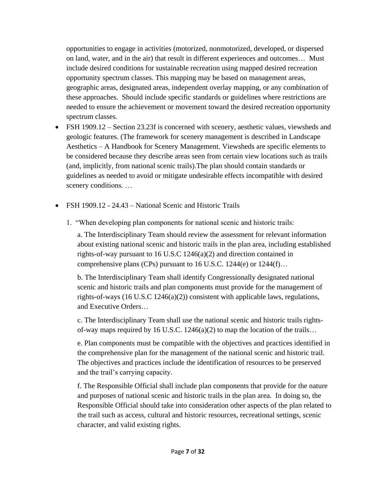opportunities to engage in activities (motorized, nonmotorized, developed, or dispersed on land, water, and in the air) that result in different experiences and outcomes… Must include desired conditions for sustainable recreation using mapped desired recreation opportunity spectrum classes. This mapping may be based on management areas, geographic areas, designated areas, independent overlay mapping, or any combination of these approaches. Should include specific standards or guidelines where restrictions are needed to ensure the achievement or movement toward the desired recreation opportunity spectrum classes.

- FSH 1909.12 Section 23.23f is concerned with scenery, aesthetic values, viewsheds and geologic features. (The framework for scenery management is described in Landscape Aesthetics – A Handbook for Scenery Management. Viewsheds are specific elements to be considered because they describe areas seen from certain view locations such as trails (and, implicitly, from national scenic trails).The plan should contain standards or guidelines as needed to avoid or mitigate undesirable effects incompatible with desired scenery conditions. …
- FSH 1909.12 24.43 National Scenic and Historic Trails
	- 1. "When developing plan components for national scenic and historic trails:

a. The Interdisciplinary Team should review the assessment for relevant information about existing national scenic and historic trails in the plan area, including established rights-of-way pursuant to 16 U.S.C 1246(a)(2) and direction contained in comprehensive plans (CPs) pursuant to 16 U.S.C. 1244(e) or 1244(f)…

b. The Interdisciplinary Team shall identify Congressionally designated national scenic and historic trails and plan components must provide for the management of rights-of-ways (16 U.S.C 1246(a)(2)) consistent with applicable laws, regulations, and Executive Orders…

c. The Interdisciplinary Team shall use the national scenic and historic trails rightsof-way maps required by 16 U.S.C. 1246(a)(2) to map the location of the trails…

e. Plan components must be compatible with the objectives and practices identified in the comprehensive plan for the management of the national scenic and historic trail. The objectives and practices include the identification of resources to be preserved and the trail's carrying capacity.

f. The Responsible Official shall include plan components that provide for the nature and purposes of national scenic and historic trails in the plan area. In doing so, the Responsible Official should take into consideration other aspects of the plan related to the trail such as access, cultural and historic resources, recreational settings, scenic character, and valid existing rights.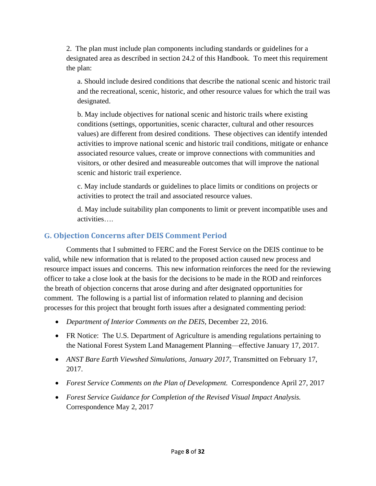2. The plan must include plan components including standards or guidelines for a designated area as described in section 24.2 of this Handbook. To meet this requirement the plan:

a. Should include desired conditions that describe the national scenic and historic trail and the recreational, scenic, historic, and other resource values for which the trail was designated.

b. May include objectives for national scenic and historic trails where existing conditions (settings, opportunities, scenic character, cultural and other resources values) are different from desired conditions. These objectives can identify intended activities to improve national scenic and historic trail conditions, mitigate or enhance associated resource values, create or improve connections with communities and visitors, or other desired and measureable outcomes that will improve the national scenic and historic trail experience.

c. May include standards or guidelines to place limits or conditions on projects or activities to protect the trail and associated resource values.

d. May include suitability plan components to limit or prevent incompatible uses and activities….

#### <span id="page-7-0"></span>**G. Objection Concerns after DEIS Comment Period**

Comments that I submitted to FERC and the Forest Service on the DEIS continue to be valid, while new information that is related to the proposed action caused new process and resource impact issues and concerns. This new information reinforces the need for the reviewing officer to take a close look at the basis for the decisions to be made in the ROD and reinforces the breath of objection concerns that arose during and after designated opportunities for comment. The following is a partial list of information related to planning and decision processes for this project that brought forth issues after a designated commenting period:

- *Department of Interior Comments on the DEIS*, December 22, 2016.
- FR Notice: The U.S. Department of Agriculture is amending regulations pertaining to the National Forest System Land Management Planning—effective January 17, 2017.
- *ANST Bare Earth Viewshed Simulations, January 2017*, Transmitted on February 17, 2017.
- *Forest Service Comments on the Plan of Development.* Correspondence April 27, 2017
- *Forest Service Guidance for Completion of the Revised Visual Impact Analysis.*  Correspondence May 2, 2017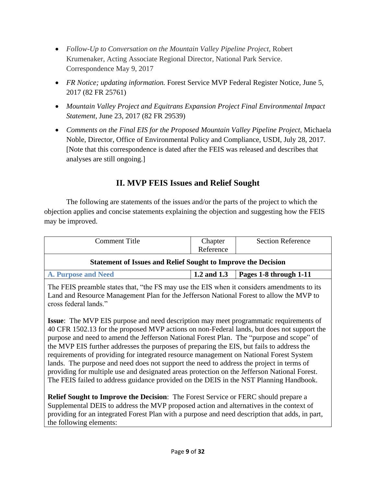- *Follow-Up to Conversation on the Mountain Valley Pipeline Project,* Robert Krumenaker, Acting Associate Regional Director, National Park Service. Correspondence May 9, 2017
- *FR Notice; updating information.* Forest Service MVP Federal Register Notice, June 5, 2017 (82 FR 25761)
- *Mountain Valley Project and Equitrans Expansion Project Final Environmental Impact Statement*, June 23, 2017 (82 FR 29539)
- *Comments on the Final EIS for the Proposed Mountain Valley Pipeline Project,* Michaela Noble, Director, Office of Environmental Policy and Compliance, USDI, July 28, 2017. [Note that this correspondence is dated after the FEIS was released and describes that analyses are still ongoing.]

# **II. MVP FEIS Issues and Relief Sought**

<span id="page-8-0"></span>The following are statements of the issues and/or the parts of the project to which the objection applies and concise statements explaining the objection and suggesting how the FEIS may be improved.

<span id="page-8-1"></span>

| Comment Title                                                                                                                                                                                                                                                                          | Chapter<br>Reference | <b>Section Reference</b> |  |
|----------------------------------------------------------------------------------------------------------------------------------------------------------------------------------------------------------------------------------------------------------------------------------------|----------------------|--------------------------|--|
| <b>Statement of Issues and Relief Sought to Improve the Decision</b>                                                                                                                                                                                                                   |                      |                          |  |
| <b>A. Purpose and Need</b>                                                                                                                                                                                                                                                             | 1.2 and 1.3          | Pages 1-8 through 1-11   |  |
| The FEIS preamble states that, "the FS may use the EIS when it considers amendments to its<br>Land and Resource Management Plan for the Jefferson National Forest to allow the MVP to<br>cross federal lands."                                                                         |                      |                          |  |
| <b>Issue:</b> The MVP EIS purpose and need description may meet programmatic requirements of<br>40 CFR 1502.13 for the proposed MVP actions on non-Federal lands, but does not support the<br>purpose and need to amend the Jefferson National Forest Plan. The "purpose and scope" of |                      |                          |  |

the MVP EIS further addresses the purposes of preparing the EIS, but fails to address the requirements of providing for integrated resource management on National Forest System lands. The purpose and need does not support the need to address the project in terms of providing for multiple use and designated areas protection on the Jefferson National Forest. The FEIS failed to address guidance provided on the DEIS in the NST Planning Handbook.

**Relief Sought to Improve the Decision**: The Forest Service or FERC should prepare a Supplemental DEIS to address the MVP proposed action and alternatives in the context of providing for an integrated Forest Plan with a purpose and need description that adds, in part, the following elements: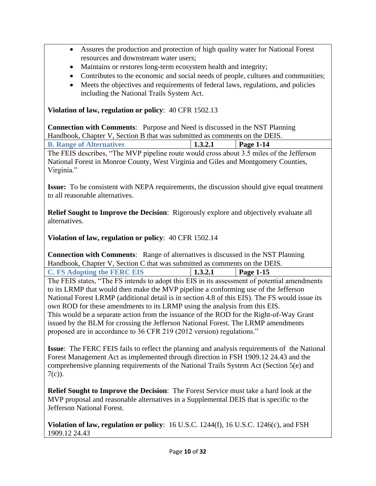- Assures the production and protection of high quality water for National Forest resources and downstream water users;
- Maintains or restores long-term ecosystem health and integrity;
- Contributes to the economic and social needs of people, cultures and communities;
- Meets the objectives and requirements of federal laws, regulations, and policies including the National Trails System Act.

**Violation of law, regulation or policy**: 40 CFR 1502.13

**Connection with Comments**: Purpose and Need is discussed in the NST Planning Handbook, Chapter V, Section B that was submitted as comments on the DEIS.

<span id="page-9-0"></span>

| <b>B. Range of Alternatives</b>                                                          | 1.3.2.1 | $\vert$ Page 1-14 |  |
|------------------------------------------------------------------------------------------|---------|-------------------|--|
| The FEIS describes, "The MVP pipeline route would cross about 3.5 miles of the Jefferson |         |                   |  |
| National Forest in Monroe County, West Virginia and Giles and Montgomery Counties,       |         |                   |  |
| Virginia."                                                                               |         |                   |  |

**Issue:** To be consistent with NEPA requirements, the discussion should give equal treatment to all reasonable alternatives.

**Relief Sought to Improve the Decision**: Rigorously explore and objectively evaluate all alternatives.

**Violation of law, regulation or policy**: 40 CFR 1502.14

**Connection with Comments**: Range of alternatives is discussed in the NST Planning Handbook, Chapter V, Section C that was submitted as comments on the DEIS.

<span id="page-9-1"></span>**C. FS Adopting the FERC EIS 1.3.2.1 Page 1-15**

The FEIS states, "The FS intends to adopt this EIS in its assessment of potential amendments to its LRMP that would then make the MVP pipeline a conforming use of the Jefferson National Forest LRMP (additional detail is in section 4.8 of this EIS). The FS would issue its own ROD for these amendments to its LRMP using the analysis from this EIS. This would be a separate action from the issuance of the ROD for the Right-of-Way Grant issued by the BLM for crossing the Jefferson National Forest. The LRMP amendments proposed are in accordance to 36 CFR 219 (2012 version) regulations."

**Issue**: The FERC FEIS fails to reflect the planning and analysis requirements of the National Forest Management Act as implemented through direction in FSH 1909.12 24.43 and the comprehensive planning requirements of the National Trails System Act (Section 5(e) and  $7(c)$ ).

**Relief Sought to Improve the Decision**: The Forest Service must take a hard look at the MVP proposal and reasonable alternatives in a Supplemental DEIS that is specific to the Jefferson National Forest.

**Violation of law, regulation or policy**: 16 U.S.C. 1244(f), 16 U.S.C. 1246(c), and FSH 1909.12 24.43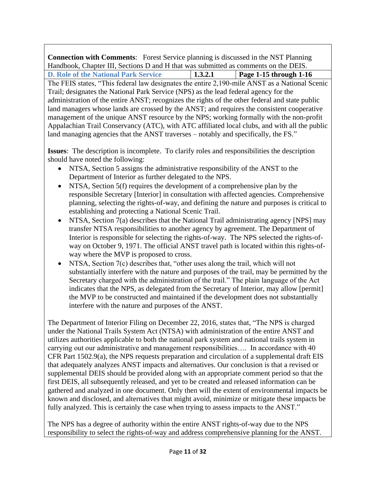<span id="page-10-0"></span>**Connection with Comments**: Forest Service planning is discussed in the NST Planning Handbook, Chapter III, Sections D and H that was submitted as comments on the DEIS. **D. Role of the National Park Service 1.3.2.1 Page 1-15 through 1-16** The FEIS states, "This federal law designates the entire 2,190-mile ANST as a National Scenic Trail; designates the National Park Service (NPS) as the lead federal agency for the administration of the entire ANST; recognizes the rights of the other federal and state public land managers whose lands are crossed by the ANST; and requires the consistent cooperative management of the unique ANST resource by the NPS; working formally with the non-profit Appalachian Trail Conservancy (ATC), with ATC affiliated local clubs, and with all the public land managing agencies that the ANST traverses – notably and specifically, the FS."

**Issues**: The description is incomplete. To clarify roles and responsibilities the description should have noted the following:

- NTSA, Section 5 assigns the administrative responsibility of the ANST to the Department of Interior as further delegated to the NPS.
- NTSA, Section 5(f) requires the development of a comprehensive plan by the responsible Secretary [Interior] in consultation with affected agencies. Comprehensive planning, selecting the rights-of-way, and defining the nature and purposes is critical to establishing and protecting a National Scenic Trail.
- NTSA, Section 7(a) describes that the National Trail administrating agency [NPS] may transfer NTSA responsibilities to another agency by agreement. The Department of Interior is responsible for selecting the rights-of-way. The NPS selected the rights-ofway on October 9, 1971. The official ANST travel path is located within this rights-ofway where the MVP is proposed to cross.
- NTSA, Section 7(c) describes that, "other uses along the trail, which will not substantially interfere with the nature and purposes of the trail, may be permitted by the Secretary charged with the administration of the trail." The plain language of the Act indicates that the NPS, as delegated from the Secretary of Interior, may allow [permit] the MVP to be constructed and maintained if the development does not substantially interfere with the nature and purposes of the ANST.

The Department of Interior Filing on December 22, 2016, states that, "The NPS is charged under the National Trails System Act (NTSA) with administration of the entire ANST and utilizes authorities applicable to both the national park system and national trails system in carrying out our administrative and management responsibilities…. In accordance with 40 CFR Part 1502.9(a), the NPS requests preparation and circulation of a supplemental draft EIS that adequately analyzes ANST impacts and alternatives. Our conclusion is that a revised or supplemental DEIS should be provided along with an appropriate comment period so that the first DEIS, all subsequently released, and yet to be created and released information can be gathered and analyzed in one document. Only then will the extent of environmental impacts be known and disclosed, and alternatives that might avoid, minimize or mitigate these impacts be fully analyzed. This is certainly the case when trying to assess impacts to the ANST."

The NPS has a degree of authority within the entire ANST rights-of-way due to the NPS responsibility to select the rights-of-way and address comprehensive planning for the ANST.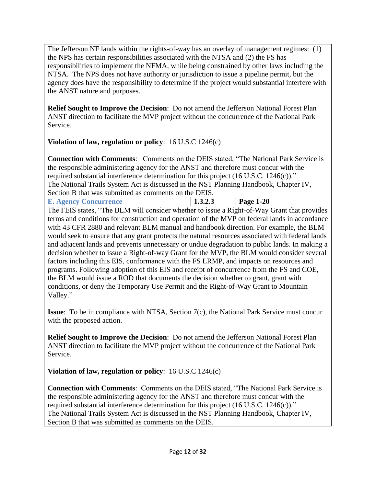The Jefferson NF lands within the rights-of-way has an overlay of management regimes: (1) the NPS has certain responsibilities associated with the NTSA and (2) the FS has responsibilities to implement the NFMA, while being constrained by other laws including the NTSA. The NPS does not have authority or jurisdiction to issue a pipeline permit, but the agency does have the responsibility to determine if the project would substantial interfere with the ANST nature and purposes.

**Relief Sought to Improve the Decision**: Do not amend the Jefferson National Forest Plan ANST direction to facilitate the MVP project without the concurrence of the National Park Service.

**Violation of law, regulation or policy**: 16 U.S.C 1246(c)

**Connection with Comments**: Comments on the DEIS stated, "The National Park Service is the responsible administering agency for the ANST and therefore must concur with the required substantial interference determination for this project (16 U.S.C. 1246(c))." The National Trails System Act is discussed in the NST Planning Handbook, Chapter IV, Section B that was submitted as comments on the DEIS.

<span id="page-11-0"></span>**E. Agency Concurrence 1.3.2.3 Page 1-20**

The FEIS states, "The BLM will consider whether to issue a Right-of-Way Grant that provides terms and conditions for construction and operation of the MVP on federal lands in accordance with 43 CFR 2880 and relevant BLM manual and handbook direction. For example, the BLM would seek to ensure that any grant protects the natural resources associated with federal lands and adjacent lands and prevents unnecessary or undue degradation to public lands. In making a decision whether to issue a Right-of-way Grant for the MVP, the BLM would consider several factors including this EIS, conformance with the FS LRMP, and impacts on resources and programs. Following adoption of this EIS and receipt of concurrence from the FS and COE, the BLM would issue a ROD that documents the decision whether to grant, grant with conditions, or deny the Temporary Use Permit and the Right-of-Way Grant to Mountain Valley."

**Issue**: To be in compliance with NTSA, Section 7(c), the National Park Service must concur with the proposed action.

**Relief Sought to Improve the Decision**: Do not amend the Jefferson National Forest Plan ANST direction to facilitate the MVP project without the concurrence of the National Park Service.

**Violation of law, regulation or policy**: 16 U.S.C 1246(c)

**Connection with Comments**: Comments on the DEIS stated, "The National Park Service is the responsible administering agency for the ANST and therefore must concur with the required substantial interference determination for this project (16 U.S.C. 1246(c))." The National Trails System Act is discussed in the NST Planning Handbook, Chapter IV, Section B that was submitted as comments on the DEIS.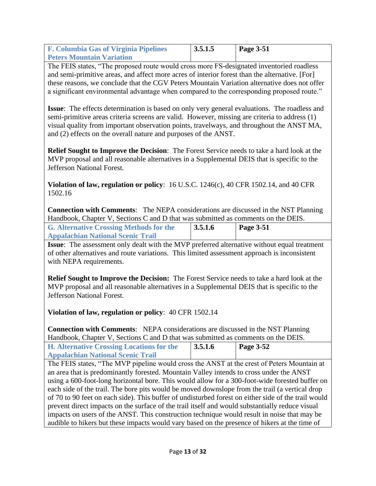<span id="page-12-0"></span>

| <b>F. Columbia Gas of Virginia Pipelines</b> | $\vert 3.5.1.5 \vert$ | $\vert$ Page 3-51 |
|----------------------------------------------|-----------------------|-------------------|
| <b>Peters Mountain Variation</b>             |                       |                   |

The FEIS states, "The proposed route would cross more FS-designated inventoried roadless and semi-primitive areas, and affect more acres of interior forest than the alternative. [For] these reasons, we conclude that the CGV Peters Mountain Variation alternative does not offer a significant environmental advantage when compared to the corresponding proposed route."

**Issue**: The effects determination is based on only very general evaluations. The roadless and semi-primitive areas criteria screens are valid. However, missing are criteria to address (1) visual quality from important observation points, travelways, and throughout the ANST MA, and (2) effects on the overall nature and purposes of the ANST.

**Relief Sought to Improve the Decision**: The Forest Service needs to take a hard look at the MVP proposal and all reasonable alternatives in a Supplemental DEIS that is specific to the Jefferson National Forest.

**Violation of law, regulation or policy**: 16 U.S.C. 1246(c), 40 CFR 1502.14, and 40 CFR 1502.16

**Connection with Comments**: The NEPA considerations are discussed in the NST Planning Handbook, Chapter V, Sections C and D that was submitted as comments on the DEIS.

<span id="page-12-1"></span>

| <b>G. Alternative Crossing Methods for the</b> | 3.5.1.6 | <b>Page 3-51</b> |
|------------------------------------------------|---------|------------------|
| <b>Appalachian National Scenic Trail</b>       |         |                  |

**Issue**: The assessment only dealt with the MVP preferred alternative without equal treatment of other alternatives and route variations. This limited assessment approach is inconsistent with NEPA requirements.

**Relief Sought to Improve the Decision:** The Forest Service needs to take a hard look at the MVP proposal and all reasonable alternatives in a Supplemental DEIS that is specific to the Jefferson National Forest.

**Violation of law, regulation or policy**: 40 CFR 1502.14

**Connection with Comments**: NEPA considerations are discussed in the NST Planning Handbook, Chapter V, Sections C and D that was submitted as comments on the DEIS.

<span id="page-12-2"></span>

| <b>H.</b> Alternative Crossing Locations for the | 3.5.1.6 | <b>Page 3-52</b> |
|--------------------------------------------------|---------|------------------|
| <b>Appalachian National Scenic Trail</b>         |         |                  |

The FEIS states, "The MVP pipeline would cross the ANST at the crest of Peters Mountain at an area that is predominantly forested. Mountain Valley intends to cross under the ANST using a 600-foot-long horizontal bore. This would allow for a 300-foot-wide forested buffer on each side of the trail. The bore pits would be moved downslope from the trail (a vertical drop of 70 to 90 feet on each side). This buffer of undisturbed forest on either side of the trail would prevent direct impacts on the surface of the trail itself and would substantially reduce visual impacts on users of the ANST. This construction technique would result in noise that may be audible to hikers but these impacts would vary based on the presence of hikers at the time of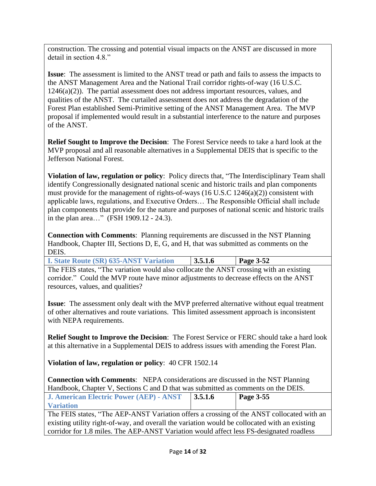construction. The crossing and potential visual impacts on the ANST are discussed in more detail in section 4.8."

**Issue**: The assessment is limited to the ANST tread or path and fails to assess the impacts to the ANST Management Area and the National Trail corridor rights-of-way (16 U.S.C. 1246(a)(2)). The partial assessment does not address important resources, values, and qualities of the ANST. The curtailed assessment does not address the degradation of the Forest Plan established Semi-Primitive setting of the ANST Management Area. The MVP proposal if implemented would result in a substantial interference to the nature and purposes of the ANST.

**Relief Sought to Improve the Decision**: The Forest Service needs to take a hard look at the MVP proposal and all reasonable alternatives in a Supplemental DEIS that is specific to the Jefferson National Forest.

**Violation of law, regulation or policy**: Policy directs that, "The Interdisciplinary Team shall identify Congressionally designated national scenic and historic trails and plan components must provide for the management of rights-of-ways (16 U.S.C 1246(a)(2)) consistent with applicable laws, regulations, and Executive Orders… The Responsible Official shall include plan components that provide for the nature and purposes of national scenic and historic trails in the plan area…" (FSH 1909.12 - 24.3).

**Connection with Comments**: Planning requirements are discussed in the NST Planning Handbook, Chapter III, Sections D, E, G, and H, that was submitted as comments on the DEIS.

<span id="page-13-0"></span>

| <b>I. State Route (SR) 635-ANST Variation</b> | $\vert 3.5.1.6 \vert$ | <b>Page 3-52</b> |
|-----------------------------------------------|-----------------------|------------------|
|-----------------------------------------------|-----------------------|------------------|

The FEIS states, "The variation would also collocate the ANST crossing with an existing corridor." Could the MVP route have minor adjustments to decrease effects on the ANST resources, values, and qualities?

**Issue**: The assessment only dealt with the MVP preferred alternative without equal treatment of other alternatives and route variations. This limited assessment approach is inconsistent with NEPA requirements.

**Relief Sought to Improve the Decision**: The Forest Service or FERC should take a hard look at this alternative in a Supplemental DEIS to address issues with amending the Forest Plan.

**Violation of law, regulation or policy**: 40 CFR 1502.14

**Connection with Comments**: NEPA considerations are discussed in the NST Planning Handbook, Chapter V, Sections C and D that was submitted as comments on the DEIS.

<span id="page-13-1"></span>

| J. American Electric Power (AEP) - ANST                                                       | $\vert 3.5.1.6 \vert$ | Page 3-55 |
|-----------------------------------------------------------------------------------------------|-----------------------|-----------|
| <b>Variation</b>                                                                              |                       |           |
| The FEIS states, "The AEP-ANST Variation offers a crossing of the ANST collocated with an     |                       |           |
| existing utility right-of-way, and overall the variation would be collocated with an existing |                       |           |
| corridor for 1.8 miles. The AEP-ANST Variation would affect less FS-designated roadless       |                       |           |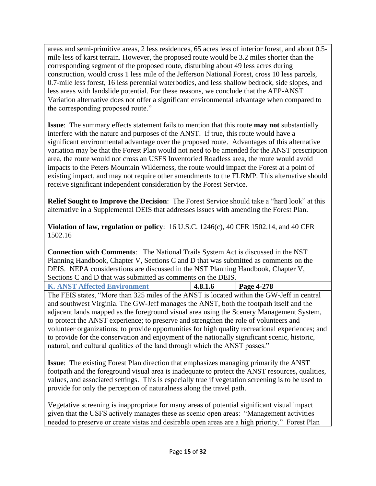areas and semi-primitive areas, 2 less residences, 65 acres less of interior forest, and about 0.5 mile less of karst terrain. However, the proposed route would be 3.2 miles shorter than the corresponding segment of the proposed route, disturbing about 49 less acres during construction, would cross 1 less mile of the Jefferson National Forest, cross 10 less parcels, 0.7-mile less forest, 16 less perennial waterbodies, and less shallow bedrock, side slopes, and less areas with landslide potential. For these reasons, we conclude that the AEP-ANST Variation alternative does not offer a significant environmental advantage when compared to the corresponding proposed route."

**Issue**: The summary effects statement fails to mention that this route **may not** substantially interfere with the nature and purposes of the ANST. If true, this route would have a significant environmental advantage over the proposed route. Advantages of this alternative variation may be that the Forest Plan would not need to be amended for the ANST prescription area, the route would not cross an USFS Inventoried Roadless area, the route would avoid impacts to the Peters Mountain Wilderness, the route would impact the Forest at a point of existing impact, and may not require other amendments to the FLRMP. This alternative should receive significant independent consideration by the Forest Service.

**Relief Sought to Improve the Decision**: The Forest Service should take a "hard look" at this alternative in a Supplemental DEIS that addresses issues with amending the Forest Plan.

**Violation of law, regulation or policy**: 16 U.S.C. 1246(c), 40 CFR 1502.14, and 40 CFR 1502.16

**Connection with Comments**: The National Trails System Act is discussed in the NST Planning Handbook, Chapter V, Sections C and D that was submitted as comments on the DEIS. NEPA considerations are discussed in the NST Planning Handbook, Chapter V, Sections C and D that was submitted as comments on the DEIS.

<span id="page-14-0"></span>

| <b>K. ANST Affected Environment</b> | 14.8.1.6 | $\vert$ Page 4-278 |
|-------------------------------------|----------|--------------------|

The FEIS states, "More than 325 miles of the ANST is located within the GW-Jeff in central and southwest Virginia. The GW-Jeff manages the ANST, both the footpath itself and the adjacent lands mapped as the foreground visual area using the Scenery Management System, to protect the ANST experience; to preserve and strengthen the role of volunteers and volunteer organizations; to provide opportunities for high quality recreational experiences; and to provide for the conservation and enjoyment of the nationally significant scenic, historic, natural, and cultural qualities of the land through which the ANST passes."

**Issue**: The existing Forest Plan direction that emphasizes managing primarily the ANST footpath and the foreground visual area is inadequate to protect the ANST resources, qualities, values, and associated settings. This is especially true if vegetation screening is to be used to provide for only the perception of naturalness along the travel path.

Vegetative screening is inappropriate for many areas of potential significant visual impact given that the USFS actively manages these as scenic open areas: "Management activities needed to preserve or create vistas and desirable open areas are a high priority." Forest Plan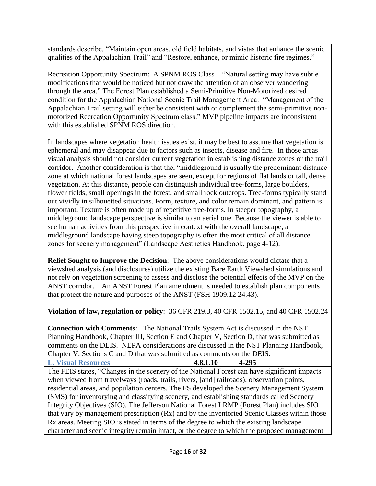standards describe, "Maintain open areas, old field habitats, and vistas that enhance the scenic qualities of the Appalachian Trail" and "Restore, enhance, or mimic historic fire regimes."

Recreation Opportunity Spectrum: A SPNM ROS Class – "Natural setting may have subtle modifications that would be noticed but not draw the attention of an observer wandering through the area." The Forest Plan established a Semi-Primitive Non-Motorized desired condition for the Appalachian National Scenic Trail Management Area: "Management of the Appalachian Trail setting will either be consistent with or complement the semi-primitive nonmotorized Recreation Opportunity Spectrum class." MVP pipeline impacts are inconsistent with this established SPNM ROS direction.

In landscapes where vegetation health issues exist, it may be best to assume that vegetation is ephemeral and may disappear due to factors such as insects, disease and fire. In those areas visual analysis should not consider current vegetation in establishing distance zones or the trail corridor. Another consideration is that the, "middleground is usually the predominant distance zone at which national forest landscapes are seen, except for regions of flat lands or tall, dense vegetation. At this distance, people can distinguish individual tree-forms, large boulders, flower fields, small openings in the forest, and small rock outcrops. Tree-forms typically stand out vividly in silhouetted situations. Form, texture, and color remain dominant, and pattern is important. Texture is often made up of repetitive tree-forms. In steeper topography, a middleground landscape perspective is similar to an aerial one. Because the viewer is able to see human activities from this perspective in context with the overall landscape, a middleground landscape having steep topography is often the most critical of all distance zones for scenery management" (Landscape Aesthetics Handbook, page 4-12).

**Relief Sought to Improve the Decision**: The above considerations would dictate that a viewshed analysis (and disclosures) utilize the existing Bare Earth Viewshed simulations and not rely on vegetation screening to assess and disclose the potential effects of the MVP on the ANST corridor. An ANST Forest Plan amendment is needed to establish plan components that protect the nature and purposes of the ANST (FSH 1909.12 24.43).

**Violation of law, regulation or policy**: 36 CFR 219.3, 40 CFR 1502.15, and 40 CFR 1502.24

**Connection with Comments**: The National Trails System Act is discussed in the NST Planning Handbook, Chapter III, Section E and Chapter V, Section D, that was submitted as comments on the DEIS. NEPA considerations are discussed in the NST Planning Handbook, Chapter V, Sections C and D that was submitted as comments on the DEIS.

<span id="page-15-0"></span>**L. Visual Resources 4.8.1.10 4-295**

The FEIS states, "Changes in the scenery of the National Forest can have significant impacts when viewed from travelways (roads, trails, rivers, [and] railroads), observation points, residential areas, and population centers. The FS developed the Scenery Management System (SMS) for inventorying and classifying scenery, and establishing standards called Scenery Integrity Objectives (SIO). The Jefferson National Forest LRMP (Forest Plan) includes SIO that vary by management prescription (Rx) and by the inventoried Scenic Classes within those Rx areas. Meeting SIO is stated in terms of the degree to which the existing landscape character and scenic integrity remain intact, or the degree to which the proposed management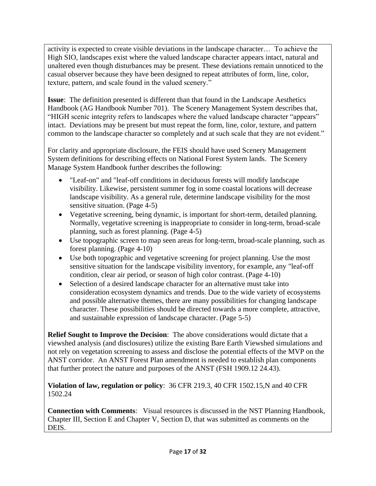activity is expected to create visible deviations in the landscape character… To achieve the High SIO, landscapes exist where the valued landscape character appears intact, natural and unaltered even though disturbances may be present. These deviations remain unnoticed to the casual observer because they have been designed to repeat attributes of form, line, color, texture, pattern, and scale found in the valued scenery."

**Issue**: The definition presented is different than that found in the Landscape Aesthetics Handbook (AG Handbook Number 701). The Scenery Management System describes that, "HIGH scenic integrity refers to landscapes where the valued landscape character "appears" intact. Deviations may be present but must repeat the form, line, color, texture, and pattern common to the landscape character so completely and at such scale that they are not evident."

For clarity and appropriate disclosure, the FEIS should have used Scenery Management System definitions for describing effects on National Forest System lands. The Scenery Manage System Handbook further describes the following:

- "Leaf-on" and "leaf-off conditions in deciduous forests will modify landscape visibility. Likewise, persistent summer fog in some coastal locations will decrease landscape visibility. As a general rule, determine landscape visibility for the most sensitive situation. (Page 4-5)
- Vegetative screening, being dynamic, is important for short-term, detailed planning. Normally, vegetative screening is inappropriate to consider in long-term, broad-scale planning, such as forest planning. (Page 4-5)
- Use topographic screen to map seen areas for long-term, broad-scale planning, such as forest planning. (Page 4-10)
- Use both topographic and vegetative screening for project planning. Use the most sensitive situation for the landscape visibility inventory, for example, any "leaf-off condition, clear air period, or season of high color contrast. (Page 4-10)
- Selection of a desired landscape character for an alternative must take into consideration ecosystem dynamics and trends. Due to the wide variety of ecosystems and possible alternative themes, there are many possibilities for changing landscape character. These possibilities should be directed towards a more complete, attractive, and sustainable expression of landscape character. (Page 5-5)

**Relief Sought to Improve the Decision**: The above considerations would dictate that a viewshed analysis (and disclosures) utilize the existing Bare Earth Viewshed simulations and not rely on vegetation screening to assess and disclose the potential effects of the MVP on the ANST corridor. An ANST Forest Plan amendment is needed to establish plan components that further protect the nature and purposes of the ANST (FSH 1909.12 24.43).

#### **Violation of law, regulation or policy**: 36 CFR 219.3, 40 CFR 1502.15,N and 40 CFR 1502.24

**Connection with Comments**: Visual resources is discussed in the NST Planning Handbook, Chapter III, Section E and Chapter V, Section D, that was submitted as comments on the DEIS.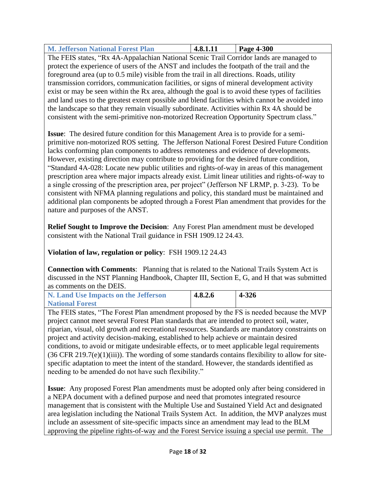<span id="page-17-0"></span>

| <b>M. Jefferson National Forest Plan</b> | 4.8.1.11 | Page 4-300 |
|------------------------------------------|----------|------------|

The FEIS states, "Rx 4A-Appalachian National Scenic Trail Corridor lands are managed to protect the experience of users of the ANST and includes the footpath of the trail and the foreground area (up to 0.5 mile) visible from the trail in all directions. Roads, utility transmission corridors, communication facilities, or signs of mineral development activity exist or may be seen within the Rx area, although the goal is to avoid these types of facilities and land uses to the greatest extent possible and blend facilities which cannot be avoided into the landscape so that they remain visually subordinate. Activities within Rx 4A should be consistent with the semi-primitive non-motorized Recreation Opportunity Spectrum class."

**Issue**: The desired future condition for this Management Area is to provide for a semiprimitive non-motorized ROS setting. The Jefferson National Forest Desired Future Condition lacks conforming plan components to address remoteness and evidence of developments. However, existing direction may contribute to providing for the desired future condition, "Standard 4A-028: Locate new public utilities and rights-of-way in areas of this management prescription area where major impacts already exist. Limit linear utilities and rights-of-way to a single crossing of the prescription area, per project" (Jefferson NF LRMP, p. 3-23). To be consistent with NFMA planning regulations and policy, this standard must be maintained and additional plan components be adopted through a Forest Plan amendment that provides for the nature and purposes of the ANST.

**Relief Sought to Improve the Decision**: Any Forest Plan amendment must be developed consistent with the National Trail guidance in FSH 1909.12 24.43.

#### **Violation of law, regulation or policy**: FSH 1909.12 24.43

**Connection with Comments**: Planning that is related to the National Trails System Act is discussed in the NST Planning Handbook, Chapter III, Section E, G, and H that was submitted as comments on the DEIS.

<span id="page-17-1"></span>

| N. Land Use Impacts on the Jefferson | 4.8.2.6 | 4-326 |
|--------------------------------------|---------|-------|
| <b>National Forest</b>               |         |       |

The FEIS states, "The Forest Plan amendment proposed by the FS is needed because the MVP project cannot meet several Forest Plan standards that are intended to protect soil, water, riparian, visual, old growth and recreational resources. Standards are mandatory constraints on project and activity decision-making, established to help achieve or maintain desired conditions, to avoid or mitigate undesirable effects, or to meet applicable legal requirements  $(36 \text{ CFR } 219.7\text{(e)}(1)\text{(iii)})$ . The wording of some standards contains flexibility to allow for sitespecific adaptation to meet the intent of the standard. However, the standards identified as needing to be amended do not have such flexibility."

**Issue**: Any proposed Forest Plan amendments must be adopted only after being considered in a NEPA document with a defined purpose and need that promotes integrated resource management that is consistent with the Multiple Use and Sustained Yield Act and designated area legislation including the National Trails System Act. In addition, the MVP analyzes must include an assessment of site-specific impacts since an amendment may lead to the BLM approving the pipeline rights-of-way and the Forest Service issuing a special use permit. The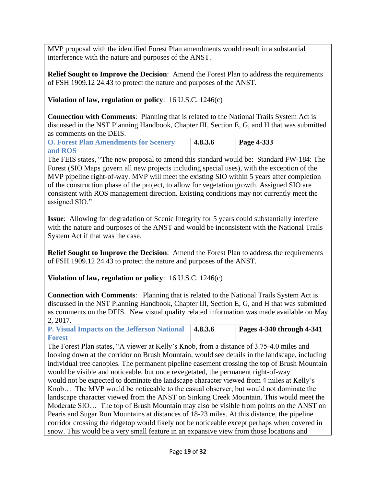MVP proposal with the identified Forest Plan amendments would result in a substantial interference with the nature and purposes of the ANST.

**Relief Sought to Improve the Decision**: Amend the Forest Plan to address the requirements of FSH 1909.12 24.43 to protect the nature and purposes of the ANST.

**Violation of law, regulation or policy**: 16 U.S.C. 1246(c)

**Connection with Comments**: Planning that is related to the National Trails System Act is discussed in the NST Planning Handbook, Chapter III, Section E, G, and H that was submitted as comments on the DEIS.

<span id="page-18-0"></span>

| <b>O. Forest Plan Amendments for Scenery</b> | 4.8.3.6 | <b>Page 4-333</b> |
|----------------------------------------------|---------|-------------------|
| and ROS                                      |         |                   |

The FEIS states, "The new proposal to amend this standard would be: Standard FW-184: The Forest (SIO Maps govern all new projects including special uses), with the exception of the MVP pipeline right-of-way. MVP will meet the existing SIO within 5 years after completion of the construction phase of the project, to allow for vegetation growth. Assigned SIO are consistent with ROS management direction. Existing conditions may not currently meet the assigned SIO."

**Issue**: Allowing for degradation of Scenic Integrity for 5 years could substantially interfere with the nature and purposes of the ANST and would be inconsistent with the National Trails System Act if that was the case.

**Relief Sought to Improve the Decision**: Amend the Forest Plan to address the requirements of FSH 1909.12 24.43 to protect the nature and purposes of the ANST.

**Violation of law, regulation or policy**: 16 U.S.C. 1246(c)

**Connection with Comments**: Planning that is related to the National Trails System Act is discussed in the NST Planning Handbook, Chapter III, Section E, G, and H that was submitted as comments on the DEIS. New visual quality related information was made available on May 2, 2017.

<span id="page-18-1"></span>

| <b>P. Visual Impacts on the Jefferson National   4.8.3.6</b> | <b>Pages 4-340 through 4-341</b> |
|--------------------------------------------------------------|----------------------------------|
| <b>Forest</b>                                                |                                  |

The Forest Plan states, "A viewer at Kelly's Knob, from a distance of 3.75-4.0 miles and looking down at the corridor on Brush Mountain, would see details in the landscape, including individual tree canopies. The permanent pipeline easement crossing the top of Brush Mountain would be visible and noticeable, but once revegetated, the permanent right-of-way would not be expected to dominate the landscape character viewed from 4 miles at Kelly's Knob… The MVP would be noticeable to the casual observer, but would not dominate the landscape character viewed from the ANST on Sinking Creek Mountain. This would meet the Moderate SIO… The top of Brush Mountain may also be visible from points on the ANST on Pearis and Sugar Run Mountains at distances of 18-23 miles. At this distance, the pipeline corridor crossing the ridgetop would likely not be noticeable except perhaps when covered in snow. This would be a very small feature in an expansive view from those locations and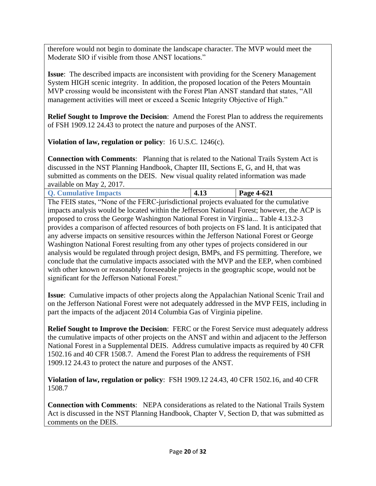therefore would not begin to dominate the landscape character. The MVP would meet the Moderate SIO if visible from those ANST locations."

**Issue**: The described impacts are inconsistent with providing for the Scenery Management System HIGH scenic integrity. In addition, the proposed location of the Peters Mountain MVP crossing would be inconsistent with the Forest Plan ANST standard that states, "All management activities will meet or exceed a Scenic Integrity Objective of High."

**Relief Sought to Improve the Decision**: Amend the Forest Plan to address the requirements of FSH 1909.12 24.43 to protect the nature and purposes of the ANST.

**Violation of law, regulation or policy**: 16 U.S.C. 1246(c).

**Connection with Comments**: Planning that is related to the National Trails System Act is discussed in the NST Planning Handbook, Chapter III, Sections E, G, and H, that was submitted as comments on the DEIS. New visual quality related information was made available on May 2, 2017.

<span id="page-19-0"></span>

| Page 4-621<br><b>Q. Cumulative Impacts</b><br>4.1J |
|----------------------------------------------------|
|----------------------------------------------------|

The FEIS states, "None of the FERC-jurisdictional projects evaluated for the cumulative impacts analysis would be located within the Jefferson National Forest; however, the ACP is proposed to cross the George Washington National Forest in Virginia... Table 4.13.2-3 provides a comparison of affected resources of both projects on FS land. It is anticipated that any adverse impacts on sensitive resources within the Jefferson National Forest or George Washington National Forest resulting from any other types of projects considered in our analysis would be regulated through project design, BMPs, and FS permitting. Therefore, we conclude that the cumulative impacts associated with the MVP and the EEP, when combined with other known or reasonably foreseeable projects in the geographic scope, would not be significant for the Jefferson National Forest."

**Issue**: Cumulative impacts of other projects along the Appalachian National Scenic Trail and on the Jefferson National Forest were not adequately addressed in the MVP FEIS, including in part the impacts of the adjacent 2014 Columbia Gas of Virginia pipeline.

**Relief Sought to Improve the Decision**: FERC or the Forest Service must adequately address the cumulative impacts of other projects on the ANST and within and adjacent to the Jefferson National Forest in a Supplemental DEIS. Address cumulative impacts as required by 40 CFR 1502.16 and 40 CFR 1508.7. Amend the Forest Plan to address the requirements of FSH 1909.12 24.43 to protect the nature and purposes of the ANST.

**Violation of law, regulation or policy**: FSH 1909.12 24.43, 40 CFR 1502.16, and 40 CFR 1508.7

**Connection with Comments**: NEPA considerations as related to the National Trails System Act is discussed in the NST Planning Handbook, Chapter V, Section D, that was submitted as comments on the DEIS.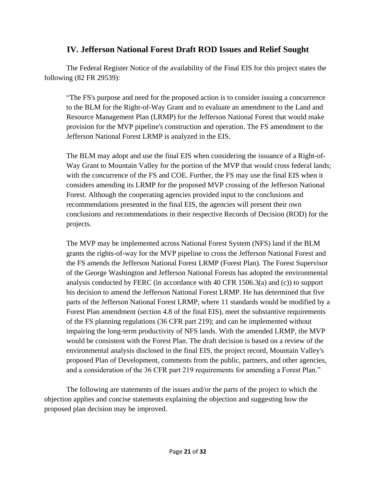### **IV. Jefferson National Forest Draft ROD Issues and Relief Sought**

<span id="page-20-0"></span>The Federal Register Notice of the availability of the Final EIS for this project states the following (82 FR 29539):

"The FS's purpose and need for the proposed action is to consider issuing a concurrence to the BLM for the Right-of-Way Grant and to evaluate an amendment to the Land and Resource Management Plan (LRMP) for the Jefferson National Forest that would make provision for the MVP pipeline's construction and operation. The FS amendment to the Jefferson National Forest LRMP is analyzed in the EIS.

The BLM may adopt and use the final EIS when considering the issuance of a Right-of-Way Grant to Mountain Valley for the portion of the MVP that would cross federal lands; with the concurrence of the FS and COE. Further, the FS may use the final EIS when it considers amending its LRMP for the proposed MVP crossing of the Jefferson National Forest. Although the cooperating agencies provided input to the conclusions and recommendations presented in the final EIS, the agencies will present their own conclusions and recommendations in their respective Records of Decision (ROD) for the projects.

The MVP may be implemented across National Forest System (NFS) land if the BLM grants the rights-of-way for the MVP pipeline to cross the Jefferson National Forest and the FS amends the Jefferson National Forest LRMP (Forest Plan). The Forest Supervisor of the George Washington and Jefferson National Forests has adopted the environmental analysis conducted by FERC (in accordance with 40 CFR 1506.3(a) and (c)) to support his decision to amend the Jefferson National Forest LRMP. He has determined that five parts of the Jefferson National Forest LRMP, where 11 standards would be modified by a Forest Plan amendment (section 4.8 of the final EIS), meet the substantive requirements of the FS planning regulations (36 CFR part 219); and can be implemented without impairing the long-term productivity of NFS lands. With the amended LRMP, the MVP would be consistent with the Forest Plan. The draft decision is based on a review of the environmental analysis disclosed in the final EIS, the project record, Mountain Valley's proposed Plan of Development, comments from the public, partners, and other agencies, and a consideration of the 36 CFR part 219 requirements for amending a Forest Plan."

The following are statements of the issues and/or the parts of the project to which the objection applies and concise statements explaining the objection and suggesting how the proposed plan decision may be improved.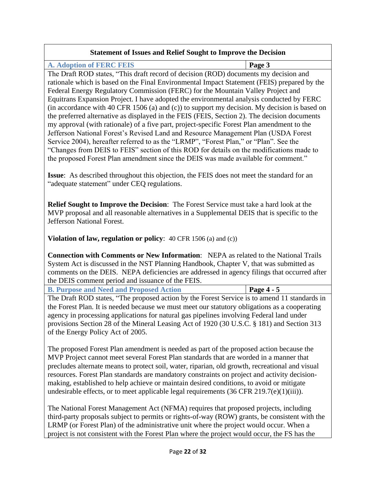#### **Statement of Issues and Relief Sought to Improve the Decision**

<span id="page-21-0"></span>**A. Adoption of FERC FEIS Page 3**

The Draft ROD states, "This draft record of decision (ROD) documents my decision and rationale which is based on the Final Environmental Impact Statement (FEIS) prepared by the Federal Energy Regulatory Commission (FERC) for the Mountain Valley Project and Equitrans Expansion Project. I have adopted the environmental analysis conducted by FERC (in accordance with 40 CFR 1506 (a) and (c)) to support my decision. My decision is based on the preferred alternative as displayed in the FEIS (FEIS, Section 2). The decision documents my approval (with rationale) of a five part, project-specific Forest Plan amendment to the Jefferson National Forest's Revised Land and Resource Management Plan (USDA Forest Service 2004), hereafter referred to as the "LRMP", "Forest Plan," or "Plan". See the "Changes from DEIS to FEIS" section of this ROD for details on the modifications made to the proposed Forest Plan amendment since the DEIS was made available for comment."

**Issue**: As described throughout this objection, the FEIS does not meet the standard for an "adequate statement" under CEQ regulations.

**Relief Sought to Improve the Decision**: The Forest Service must take a hard look at the MVP proposal and all reasonable alternatives in a Supplemental DEIS that is specific to the Jefferson National Forest.

**Violation of law, regulation or policy**: 40 CFR 1506 (a) and (c))

**Connection with Comments or New Information**: NEPA as related to the National Trails System Act is discussed in the NST Planning Handbook, Chapter V, that was submitted as comments on the DEIS. NEPA deficiencies are addressed in agency filings that occurred after the DEIS comment period and issuance of the FEIS.

<span id="page-21-1"></span>**B. Purpose and Need and Proposed Action Page 4 - 5**

The Draft ROD states, "The proposed action by the Forest Service is to amend 11 standards in the Forest Plan. It is needed because we must meet our statutory obligations as a cooperating agency in processing applications for natural gas pipelines involving Federal land under provisions Section 28 of the Mineral Leasing Act of 1920 (30 U.S.C. § 181) and Section 313 of the Energy Policy Act of 2005.

The proposed Forest Plan amendment is needed as part of the proposed action because the MVP Project cannot meet several Forest Plan standards that are worded in a manner that precludes alternate means to protect soil, water, riparian, old growth, recreational and visual resources. Forest Plan standards are mandatory constraints on project and activity decisionmaking, established to help achieve or maintain desired conditions, to avoid or mitigate undesirable effects, or to meet applicable legal requirements (36 CFR 219.7(e)(1)(iii)).

The National Forest Management Act (NFMA) requires that proposed projects, including third-party proposals subject to permits or rights-of-way (ROW) grants, be consistent with the LRMP (or Forest Plan) of the administrative unit where the project would occur. When a project is not consistent with the Forest Plan where the project would occur, the FS has the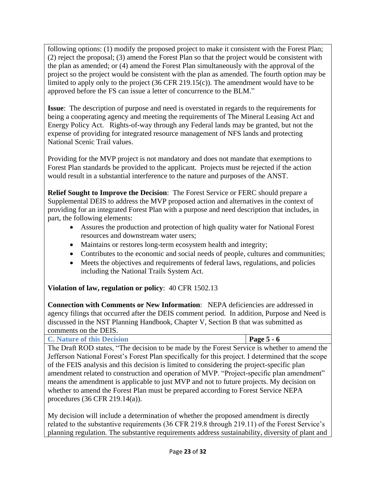following options: (1) modify the proposed project to make it consistent with the Forest Plan; (2) reject the proposal; (3) amend the Forest Plan so that the project would be consistent with the plan as amended; or (4) amend the Forest Plan simultaneously with the approval of the project so the project would be consistent with the plan as amended. The fourth option may be limited to apply only to the project (36 CFR 219.15(c)). The amendment would have to be approved before the FS can issue a letter of concurrence to the BLM."

**Issue**: The description of purpose and need is overstated in regards to the requirements for being a cooperating agency and meeting the requirements of The Mineral Leasing Act and Energy Policy Act. Rights-of-way through any Federal lands may be granted, but not the expense of providing for integrated resource management of NFS lands and protecting National Scenic Trail values.

Providing for the MVP project is not mandatory and does not mandate that exemptions to Forest Plan standards be provided to the applicant. Projects must be rejected if the action would result in a substantial interference to the nature and purposes of the ANST.

**Relief Sought to Improve the Decision**: The Forest Service or FERC should prepare a Supplemental DEIS to address the MVP proposed action and alternatives in the context of providing for an integrated Forest Plan with a purpose and need description that includes, in part, the following elements:

- Assures the production and protection of high quality water for National Forest resources and downstream water users;
- Maintains or restores long-term ecosystem health and integrity;
- Contributes to the economic and social needs of people, cultures and communities;
- Meets the objectives and requirements of federal laws, regulations, and policies including the National Trails System Act.

**Violation of law, regulation or policy**: 40 CFR 1502.13

**Connection with Comments or New Information**: NEPA deficiencies are addressed in agency filings that occurred after the DEIS comment period. In addition, Purpose and Need is discussed in the NST Planning Handbook, Chapter V, Section B that was submitted as comments on the DEIS.

<span id="page-22-0"></span>**C. Nature of this Decision Page 5 - 6** The Draft ROD states, "The decision to be made by the Forest Service is whether to amend the Jefferson National Forest's Forest Plan specifically for this project. I determined that the scope of the FEIS analysis and this decision is limited to considering the project-specific plan amendment related to construction and operation of MVP. "Project-specific plan amendment" means the amendment is applicable to just MVP and not to future projects. My decision on whether to amend the Forest Plan must be prepared according to Forest Service NEPA procedures (36 CFR 219.14(a)).

My decision will include a determination of whether the proposed amendment is directly related to the substantive requirements (36 CFR 219.8 through 219.11) of the Forest Service's planning regulation. The substantive requirements address sustainability, diversity of plant and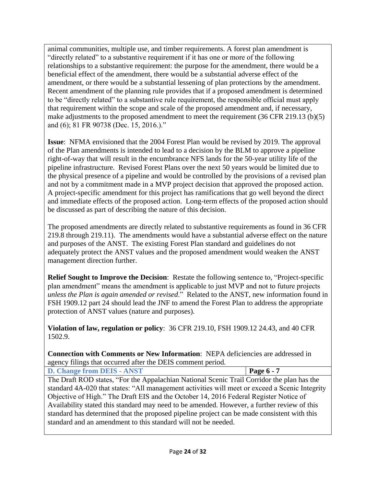animal communities, multiple use, and timber requirements. A forest plan amendment is "directly related" to a substantive requirement if it has one or more of the following relationships to a substantive requirement: the purpose for the amendment, there would be a beneficial effect of the amendment, there would be a substantial adverse effect of the amendment, or there would be a substantial lessening of plan protections by the amendment. Recent amendment of the planning rule provides that if a proposed amendment is determined to be "directly related" to a substantive rule requirement, the responsible official must apply that requirement within the scope and scale of the proposed amendment and, if necessary, make adjustments to the proposed amendment to meet the requirement (36 CFR 219.13 (b)(5) and (6); 81 FR 90738 (Dec. 15, 2016.)."

**Issue**: NFMA envisioned that the 2004 Forest Plan would be revised by 2019. The approval of the Plan amendments is intended to lead to a decision by the BLM to approve a pipeline right-of-way that will result in the encumbrance NFS lands for the 50-year utility life of the pipeline infrastructure. Revised Forest Plans over the next 50 years would be limited due to the physical presence of a pipeline and would be controlled by the provisions of a revised plan and not by a commitment made in a MVP project decision that approved the proposed action. A project-specific amendment for this project has ramifications that go well beyond the direct and immediate effects of the proposed action. Long-term effects of the proposed action should be discussed as part of describing the nature of this decision.

The proposed amendments are directly related to substantive requirements as found in 36 CFR 219.8 through 219.11). The amendments would have a substantial adverse effect on the nature and purposes of the ANST. The existing Forest Plan standard and guidelines do not adequately protect the ANST values and the proposed amendment would weaken the ANST management direction further.

**Relief Sought to Improve the Decision**: Restate the following sentence to, "Project-specific plan amendment" means the amendment is applicable to just MVP and not to future projects *unless the Plan is again amended or revised*." Related to the ANST, new information found in FSH 1909.12 part 24 should lead the JNF to amend the Forest Plan to address the appropriate protection of ANST values (nature and purposes).

**Violation of law, regulation or policy**: 36 CFR 219.10, FSH 1909.12 24.43, and 40 CFR 1502.9.

**Connection with Comments or New Information**: NEPA deficiencies are addressed in agency filings that occurred after the DEIS comment period.

<span id="page-23-0"></span>

| D. Change from DEIS - ANST |
|----------------------------|
|----------------------------|

The Draft ROD states, "For the Appalachian National Scenic Trail Corridor the plan has the standard 4A-020 that states: "All management activities will meet or exceed a Scenic Integrity Objective of High." The Draft EIS and the October 14, 2016 Federal Register Notice of Availability stated this standard may need to be amended. However, a further review of this standard has determined that the proposed pipeline project can be made consistent with this standard and an amendment to this standard will not be needed.

**Page 6 - 7**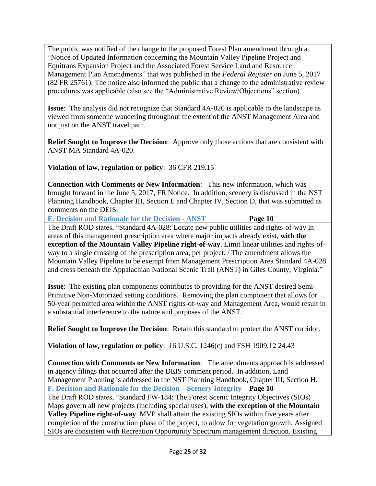The public was notified of the change to the proposed Forest Plan amendment through a "Notice of Updated Information concerning the Mountain Valley Pipeline Project and Equitrans Expansion Project and the Associated Forest Service Land and Resource Management Plan Amendments" that was published in the *Federal Register* on June 5, 2017 (82 FR 25761). The notice also informed the public that a change to the administrative review procedures was applicable (also see the "Administrative Review/Objections" section).

**Issue**: The analysis did not recognize that Standard 4A-020 is applicable to the landscape as viewed from someone wandering throughout the extent of the ANST Management Area and not just on the ANST travel path.

**Relief Sought to Improve the Decision**: Approve only those actions that are consistent with ANST MA Standard 4A-020.

**Violation of law, regulation or policy**: 36 CFR 219.15

**Connection with Comments or New Information**: This new information, which was brought forward in the June 5, 2017, FR Notice. In addition, scenery is discussed in the NST Planning Handbook, Chapter III, Section E and Chapter IV, Section D, that was submitted as comments on the DEIS.

<span id="page-24-0"></span>**E. Decision and Rationale for the Decision - ANST Page 10**

The Draft ROD states, "Standard 4A-028: Locate new public utilities and rights-of-way in areas of this management prescription area where major impacts already exist, **with the exception of the Mountain Valley Pipeline right-of-way**. Limit linear utilities and rights-ofway to a single crossing of the prescription area, per project. / The amendment allows the Mountain Valley Pipeline to be exempt from Management Prescription Area Standard 4A-028 and cross beneath the Appalachian National Scenic Trail (ANST) in Giles County, Virginia."

**Issue**: The existing plan components contributes to providing for the ANST desired Semi-Primitive Non-Motorized setting conditions. Removing the plan component that allows for 50-year permitted area within the ANST rights-of-way and Management Area, would result in a substantial interference to the nature and purposes of the ANST.

**Relief Sought to Improve the Decision**: Retain this standard to protect the ANST corridor.

**Violation of law, regulation or policy**: 16 U.S.C. 1246(c) and FSH 1909.12 24.43

<span id="page-24-1"></span>**Connection with Comments or New Information**: The amendments approach is addressed in agency filings that occurred after the DEIS comment period. In addition, Land Management Planning is addressed in the NST Planning Handbook, Chapter III, Section H. **F. Decision and Rationale for the Decision – Scenery Integrity Page 10** The Draft ROD states, "Standard FW-184: The Forest Scenic Integrity Objectives (SIOs) Maps govern all new projects (including special uses), **with the exception of the Mountain Valley Pipeline right-of-way**. MVP shall attain the existing SIOs within five years after completion of the construction phase of the project, to allow for vegetation growth. Assigned SIOs are consistent with Recreation Opportunity Spectrum management direction. Existing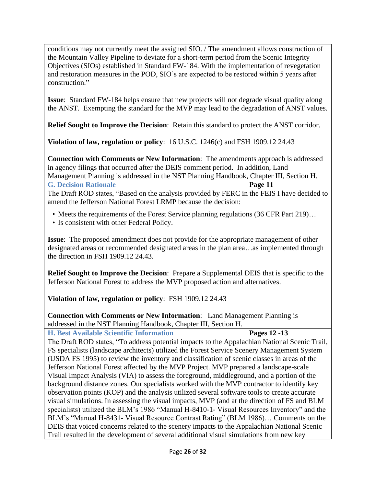conditions may not currently meet the assigned SIO. / The amendment allows construction of the Mountain Valley Pipeline to deviate for a short-term period from the Scenic Integrity Objectives (SIOs) established in Standard FW-184. With the implementation of revegetation and restoration measures in the POD, SIO's are expected to be restored within 5 years after construction."

**Issue**: Standard FW-184 helps ensure that new projects will not degrade visual quality along the ANST. Exempting the standard for the MVP may lead to the degradation of ANST values.

**Relief Sought to Improve the Decision**: Retain this standard to protect the ANST corridor.

**Violation of law, regulation or policy**: 16 U.S.C. 1246(c) and FSH 1909.12 24.43

**Connection with Comments or New Information**: The amendments approach is addressed in agency filings that occurred after the DEIS comment period. In addition, Land Management Planning is addressed in the NST Planning Handbook, Chapter III, Section H.

<span id="page-25-0"></span>**G. Decision Rationale Page 11**

The Draft ROD states, "Based on the analysis provided by FERC in the FEIS I have decided to amend the Jefferson National Forest LRMP because the decision:

- Meets the requirements of the Forest Service planning regulations (36 CFR Part 219)...
- Is consistent with other Federal Policy.

**Issue**: The proposed amendment does not provide for the appropriate management of other designated areas or recommended designated areas in the plan area…as implemented through the direction in FSH 1909.12 24.43.

**Relief Sought to Improve the Decision**: Prepare a Supplemental DEIS that is specific to the Jefferson National Forest to address the MVP proposed action and alternatives.

**Violation of law, regulation or policy**: FSH 1909.12 24.43

**Connection with Comments or New Information**: Land Management Planning is addressed in the NST Planning Handbook, Chapter III, Section H.

<span id="page-25-1"></span>

| <b>H. Best Available Scientific Information</b>                                               |  | Pages $12 - 13$ |
|-----------------------------------------------------------------------------------------------|--|-----------------|
| The Draft ROD states, "To address potential impacts to the Appalachian National Scenic Trail, |  |                 |

FS specialists (landscape architects) utilized the Forest Service Scenery Management System (USDA FS 1995) to review the inventory and classification of scenic classes in areas of the Jefferson National Forest affected by the MVP Project. MVP prepared a landscape-scale Visual Impact Analysis (VIA) to assess the foreground, middleground, and a portion of the background distance zones. Our specialists worked with the MVP contractor to identify key observation points (KOP) and the analysis utilized several software tools to create accurate visual simulations. In assessing the visual impacts, MVP (and at the direction of FS and BLM specialists) utilized the BLM's 1986 "Manual H-8410-1- Visual Resources Inventory" and the BLM's "Manual H-8431- Visual Resource Contrast Rating" (BLM 1986)… Comments on the DEIS that voiced concerns related to the scenery impacts to the Appalachian National Scenic Trail resulted in the development of several additional visual simulations from new key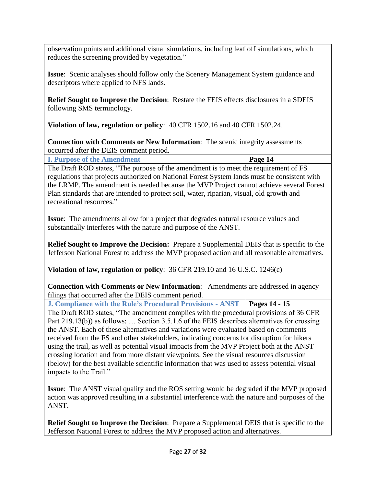observation points and additional visual simulations, including leaf off simulations, which reduces the screening provided by vegetation."

**Issue**: Scenic analyses should follow only the Scenery Management System guidance and descriptors where applied to NFS lands.

**Relief Sought to Improve the Decision**: Restate the FEIS effects disclosures in a SDEIS following SMS terminology.

**Violation of law, regulation or policy**: 40 CFR 1502.16 and 40 CFR 1502.24.

**Connection with Comments or New Information**: The scenic integrity assessments occurred after the DEIS comment period.

<span id="page-26-0"></span>

| <b>I. Purpose of the Amendment</b>           |  | Page 14 |  |
|----------------------------------------------|--|---------|--|
| ---<br>$\sim$ $\sim$ $\sim$ $\sim$<br>$\sim$ |  |         |  |

The Draft ROD states, "The purpose of the amendment is to meet the requirement of FS regulations that projects authorized on National Forest System lands must be consistent with the LRMP. The amendment is needed because the MVP Project cannot achieve several Forest Plan standards that are intended to protect soil, water, riparian, visual, old growth and recreational resources."

**Issue**: The amendments allow for a project that degrades natural resource values and substantially interferes with the nature and purpose of the ANST.

**Relief Sought to Improve the Decision:** Prepare a Supplemental DEIS that is specific to the Jefferson National Forest to address the MVP proposed action and all reasonable alternatives.

**Violation of law, regulation or policy**: 36 CFR 219.10 and 16 U.S.C. 1246(c)

**Connection with Comments or New Information**: Amendments are addressed in agency filings that occurred after the DEIS comment period.

<span id="page-26-1"></span>**J. Compliance with the Rule's Procedural Provisions - ANST Pages 14 - 15**

The Draft ROD states, "The amendment complies with the procedural provisions of 36 CFR Part 219.13(b)) as follows: … Section 3.5.1.6 of the FEIS describes alternatives for crossing the ANST. Each of these alternatives and variations were evaluated based on comments received from the FS and other stakeholders, indicating concerns for disruption for hikers using the trail, as well as potential visual impacts from the MVP Project both at the ANST crossing location and from more distant viewpoints. See the visual resources discussion (below) for the best available scientific information that was used to assess potential visual impacts to the Trail."

**Issue**: The ANST visual quality and the ROS setting would be degraded if the MVP proposed action was approved resulting in a substantial interference with the nature and purposes of the ANST.

**Relief Sought to Improve the Decision**: Prepare a Supplemental DEIS that is specific to the Jefferson National Forest to address the MVP proposed action and alternatives.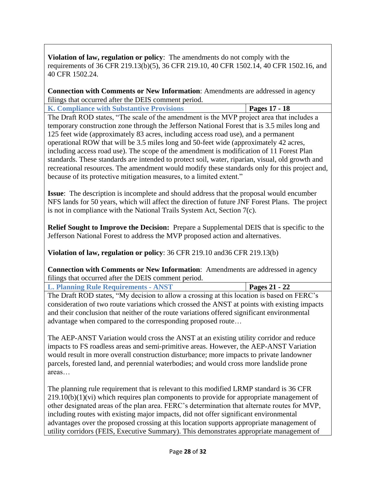**Violation of law, regulation or policy**: The amendments do not comply with the requirements of 36 CFR 219.13(b)(5), 36 CFR 219.10, 40 CFR 1502.14, 40 CFR 1502.16, and 40 CFR 1502.24.

**Connection with Comments or New Information**: Amendments are addressed in agency filings that occurred after the DEIS comment period.

<span id="page-27-0"></span>**K. Compliance with Substantive Provisions Pages 17 - 18**

The Draft ROD states, "The scale of the amendment is the MVP project area that includes a temporary construction zone through the Jefferson National Forest that is 3.5 miles long and 125 feet wide (approximately 83 acres, including access road use), and a permanent operational ROW that will be 3.5 miles long and 50-feet wide (approximately 42 acres, including access road use). The scope of the amendment is modification of 11 Forest Plan standards. These standards are intended to protect soil, water, riparian, visual, old growth and recreational resources. The amendment would modify these standards only for this project and, because of its protective mitigation measures, to a limited extent."

**Issue**: The description is incomplete and should address that the proposal would encumber NFS lands for 50 years, which will affect the direction of future JNF Forest Plans. The project is not in compliance with the National Trails System Act, Section 7(c).

**Relief Sought to Improve the Decision:** Prepare a Supplemental DEIS that is specific to the Jefferson National Forest to address the MVP proposed action and alternatives.

**Violation of law, regulation or policy**: 36 CFR 219.10 and36 CFR 219.13(b)

**Connection with Comments or New Information**: Amendments are addressed in agency filings that occurred after the DEIS comment period.

<span id="page-27-1"></span>

| <b>L. Planning Rule Requirements - ANST</b> | Pages 21 - 22 |
|---------------------------------------------|---------------|
|                                             |               |

The Draft ROD states, "My decision to allow a crossing at this location is based on FERC's consideration of two route variations which crossed the ANST at points with existing impacts and their conclusion that neither of the route variations offered significant environmental advantage when compared to the corresponding proposed route…

The AEP-ANST Variation would cross the ANST at an existing utility corridor and reduce impacts to FS roadless areas and semi-primitive areas. However, the AEP-ANST Variation would result in more overall construction disturbance; more impacts to private landowner parcels, forested land, and perennial waterbodies; and would cross more landslide prone areas…

The planning rule requirement that is relevant to this modified LRMP standard is 36 CFR  $219.10(b)(1)(vi)$  which requires plan components to provide for appropriate management of other designated areas of the plan area. FERC's determination that alternate routes for MVP, including routes with existing major impacts, did not offer significant environmental advantages over the proposed crossing at this location supports appropriate management of utility corridors (FEIS, Executive Summary). This demonstrates appropriate management of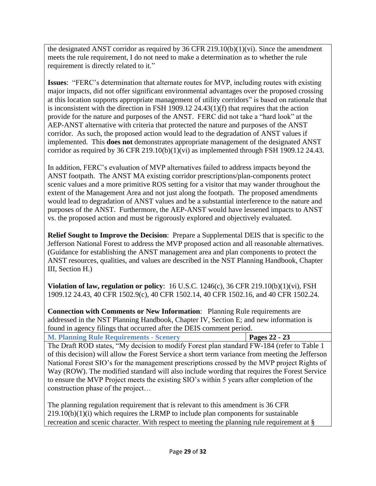the designated ANST corridor as required by 36 CFR 219.10(b)(1)(vi). Since the amendment meets the rule requirement, I do not need to make a determination as to whether the rule requirement is directly related to it."

**Issues**: "FERC's determination that alternate routes for MVP, including routes with existing major impacts, did not offer significant environmental advantages over the proposed crossing at this location supports appropriate management of utility corridors" is based on rationale that is inconsistent with the direction in FSH 1909.12 24.43(1)(f) that requires that the action provide for the nature and purposes of the ANST. FERC did not take a "hard look" at the AEP-ANST alternative with criteria that protected the nature and purposes of the ANST corridor. As such, the proposed action would lead to the degradation of ANST values if implemented. This **does not** demonstrates appropriate management of the designated ANST corridor as required by 36 CFR 219.10(b)(1)(vi) as implemented through FSH 1909.12 24.43.

In addition, FERC's evaluation of MVP alternatives failed to address impacts beyond the ANST footpath. The ANST MA existing corridor prescriptions/plan-components protect scenic values and a more primitive ROS setting for a visitor that may wander throughout the extent of the Management Area and not just along the footpath. The proposed amendments would lead to degradation of ANST values and be a substantial interference to the nature and purposes of the ANST. Furthermore, the AEP-ANST would have lessened impacts to ANST vs. the proposed action and must be rigorously explored and objectively evaluated.

**Relief Sought to Improve the Decision**: Prepare a Supplemental DEIS that is specific to the Jefferson National Forest to address the MVP proposed action and all reasonable alternatives. (Guidance for establishing the ANST management area and plan components to protect the ANST resources, qualities, and values are described in the NST Planning Handbook, Chapter III, Section H.)

**Violation of law, regulation or policy**: 16 U.S.C. 1246(c), 36 CFR 219.10(b)(1)(vi), FSH 1909.12 24.43, 40 CFR 1502.9(c), 40 CFR 1502.14, 40 CFR 1502.16, and 40 CFR 1502.24.

**Connection with Comments or New Information**: Planning Rule requirements are addressed in the NST Planning Handbook, Chapter IV, Section E; and new information is found in agency filings that occurred after the DEIS comment period.

<span id="page-28-0"></span>

|  | <b>M. Planning Rule Requirements - Scenery</b> |  |  | Pages $22 - 23$ |  |
|--|------------------------------------------------|--|--|-----------------|--|
|  |                                                |  |  |                 |  |

The Draft ROD states, "My decision to modify Forest plan standard FW-184 (refer to Table 1 of this decision) will allow the Forest Service a short term variance from meeting the Jefferson National Forest SIO's for the management prescriptions crossed by the MVP project Rights of Way (ROW). The modified standard will also include wording that requires the Forest Service to ensure the MVP Project meets the existing SIO's within 5 years after completion of the construction phase of the project…

The planning regulation requirement that is relevant to this amendment is 36 CFR  $219.10(b)(1)(i)$  which requires the LRMP to include plan components for sustainable recreation and scenic character. With respect to meeting the planning rule requirement at §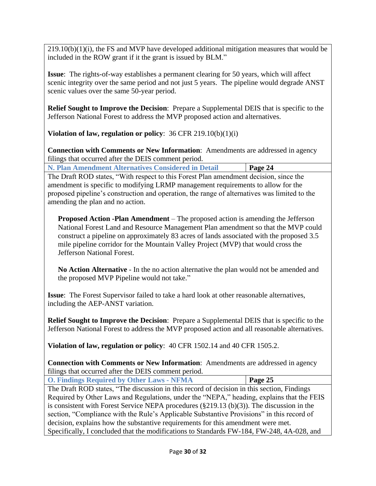$219.10(b)(1)(i)$ , the FS and MVP have developed additional mitigation measures that would be included in the ROW grant if it the grant is issued by BLM."

**Issue**: The rights-of-way establishes a permanent clearing for 50 years, which will affect scenic integrity over the same period and not just 5 years. The pipeline would degrade ANST scenic values over the same 50-year period.

**Relief Sought to Improve the Decision**: Prepare a Supplemental DEIS that is specific to the Jefferson National Forest to address the MVP proposed action and alternatives.

**Violation of law, regulation or policy**: 36 CFR 219.10(b)(1)(i)

**Connection with Comments or New Information**: Amendments are addressed in agency filings that occurred after the DEIS comment period.

<span id="page-29-0"></span>

| Page 24<br>N. Plan Amendment Alternatives Considered in Detail |
|----------------------------------------------------------------|
|----------------------------------------------------------------|

The Draft ROD states, "With respect to this Forest Plan amendment decision, since the amendment is specific to modifying LRMP management requirements to allow for the proposed pipeline's construction and operation, the range of alternatives was limited to the amending the plan and no action.

**Proposed Action -Plan Amendment** – The proposed action is amending the Jefferson National Forest Land and Resource Management Plan amendment so that the MVP could construct a pipeline on approximately 83 acres of lands associated with the proposed 3.5 mile pipeline corridor for the Mountain Valley Project (MVP) that would cross the Jefferson National Forest.

**No Action Alternative** - In the no action alternative the plan would not be amended and the proposed MVP Pipeline would not take."

**Issue**: The Forest Supervisor failed to take a hard look at other reasonable alternatives, including the AEP-ANST variation.

**Relief Sought to Improve the Decision**: Prepare a Supplemental DEIS that is specific to the Jefferson National Forest to address the MVP proposed action and all reasonable alternatives.

**Violation of law, regulation or policy**: 40 CFR 1502.14 and 40 CFR 1505.2.

**Connection with Comments or New Information**: Amendments are addressed in agency filings that occurred after the DEIS comment period.

<span id="page-29-1"></span>**O. Findings Required by Other Laws - NFMA Page 25**

The Draft ROD states, "The discussion in this record of decision in this section, Findings Required by Other Laws and Regulations, under the "NEPA," heading, explains that the FEIS is consistent with Forest Service NEPA procedures (§219.13 (b)(3)). The discussion in the section, "Compliance with the Rule's Applicable Substantive Provisions" in this record of decision, explains how the substantive requirements for this amendment were met. Specifically, I concluded that the modifications to Standards FW-184, FW-248, 4A-028, and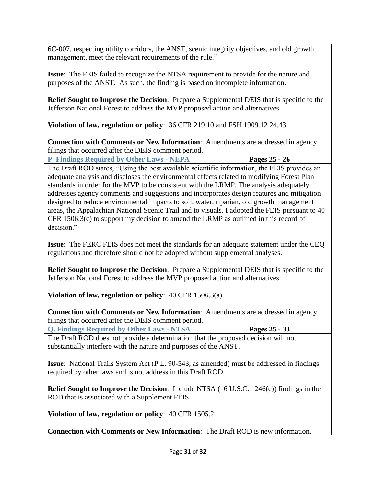6C-007, respecting utility corridors, the ANST, scenic integrity objectives, and old growth management, meet the relevant requirements of the rule."

**Issue**: The FEIS failed to recognize the NTSA requirement to provide for the nature and purposes of the ANST. As such, the finding is based on incomplete information.

**Relief Sought to Improve the Decision**: Prepare a Supplemental DEIS that is specific to the Jefferson National Forest to address the MVP proposed action and alternatives.

**Violation of law, regulation or policy**: 36 CFR 219.10 and FSH 1909.12 24.43.

**Connection with Comments or New Information**: Amendments are addressed in agency filings that occurred after the DEIS comment period.

<span id="page-30-0"></span>

|  |  |  | <b>P. Findings Required by Other Laws - NEPA</b>                                                                                                                                                                                                                                 |  |  |  | Pages $25 - 26$ |  |
|--|--|--|----------------------------------------------------------------------------------------------------------------------------------------------------------------------------------------------------------------------------------------------------------------------------------|--|--|--|-----------------|--|
|  |  |  | $\mathbb{R}^d$ , and $\mathbb{R}^d$ , and $\mathbb{R}^d$ , and $\mathbb{R}^d$ , and $\mathbb{R}^d$ , and $\mathbb{R}^d$ , and $\mathbb{R}^d$ , and $\mathbb{R}^d$ , and $\mathbb{R}^d$ , and $\mathbb{R}^d$ , and $\mathbb{R}^d$ , and $\mathbb{R}^d$ , and $\mathbb{R}^d$ , and |  |  |  |                 |  |

The Draft ROD states, "Using the best available scientific information, the FEIS provides an adequate analysis and discloses the environmental effects related to modifying Forest Plan standards in order for the MVP to be consistent with the LRMP. The analysis adequately addresses agency comments and suggestions and incorporates design features and mitigation designed to reduce environmental impacts to soil, water, riparian, old growth management areas, the Appalachian National Scenic Trail and to visuals. I adopted the FEIS pursuant to 40 CFR 1506.3(c) to support my decision to amend the LRMP as outlined in this record of decision."

**Issue**: The FERC FEIS does not meet the standards for an adequate statement under the CEQ regulations and therefore should not be adopted without supplemental analyses.

**Relief Sought to Improve the Decision**: Prepare a Supplemental DEIS that is specific to the Jefferson National Forest to address the MVP proposed action and alternatives.

**Violation of law, regulation or policy**: 40 CFR 1506.3(a).

**Connection with Comments or New Information**: Amendments are addressed in agency filings that occurred after the DEIS comment period.

<span id="page-30-1"></span>

| <b>Q. Findings Required by Other Laws - NTSA</b> |  | <b>Pages 25 - 33</b> |
|--------------------------------------------------|--|----------------------|
|                                                  |  |                      |

The Draft ROD does not provide a determination that the proposed decision will not substantially interfere with the nature and purposes of the ANST.

**Issue**: National Trails System Act (P.L. 90-543, as amended) must be addressed in findings required by other laws and is not address in this Draft ROD.

**Relief Sought to Improve the Decision**: Include NTSA (16 U.S.C. 1246(c)) findings in the ROD that is associated with a Supplement FEIS.

**Violation of law, regulation or policy**: 40 CFR 1505.2.

**Connection with Comments or New Information**: The Draft ROD is new information.